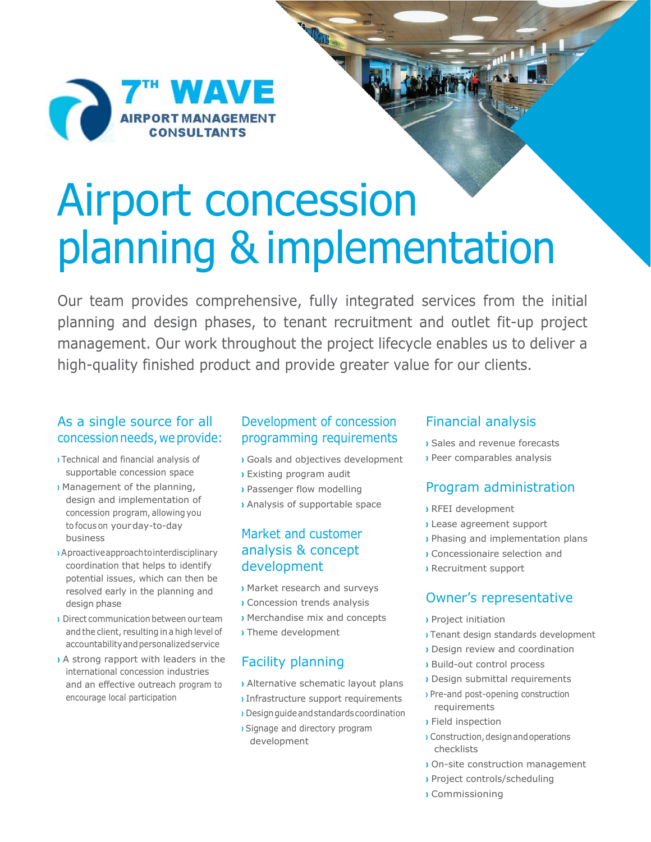

# Airport concession planning & implementation

**STATE** 

Our team provides comprehensive, fully integrated services from the initial planning and design phases, to tenant recruitment and outlet fit-up project management. Our work throughout the project lifecycle enables us to deliver a high-quality finished product and provide greater value for our clients.

### As a single source for all concession needs, we provide:

- **›** Technical and financial analysis of supportable concession space
- **›** Management of the planning, design and implementation of concession program, allowing you tofocus on yourday-to-day business
- **›** Aproactiveapproachtointerdisciplinary coordination that helps to identify potential issues, which can then be resolved early in the planning and design phase
- **›** Direct communication between our team and the client, resulting in a high level of accountabilityandpersonalizedservice
- **›** A strong rapport with leaders in the international concession industries and an effective outreach program to encourage local participation

# Development of concession programming requirements

- **›** Goals and objectives development
- **›** Existing program audit
- **›** Passenger flow modelling
- **›** Analysis of supportable space

# Market and customer analysis & concept development

- **›** Market research and surveys
- **›** Concession trends analysis
- **›** Merchandise mix and concepts **›** Theme development

# Facility planning

- **›** Alternative schematic layout plans
- **›** Infrastructure support requirements **›** Designguideandstandardscoordination
- **›** Signage and directory program development

#### Financial analysis

- **›** Sales and revenue forecasts
- **›** Peer comparables analysis

# Program administration

- **›** RFEI development
- **›** Lease agreement support
- **›** Phasing and implementation plans
- **›** Concessionaire selection and
- **›** Recruitment support

# Owner's representative

- **›** Project initiation
- **›** Tenant design standards development
- **›** Design review and coordination
- **›** Build-out control process
- **›** Design submittal requirements
- **›** Pre-and post-opening construction requirements
- **›** Field inspection
- **I** Construction, design and operations checklists
- **›** On-site construction management
- **›** Project controls/scheduling
- **›** Commissioning